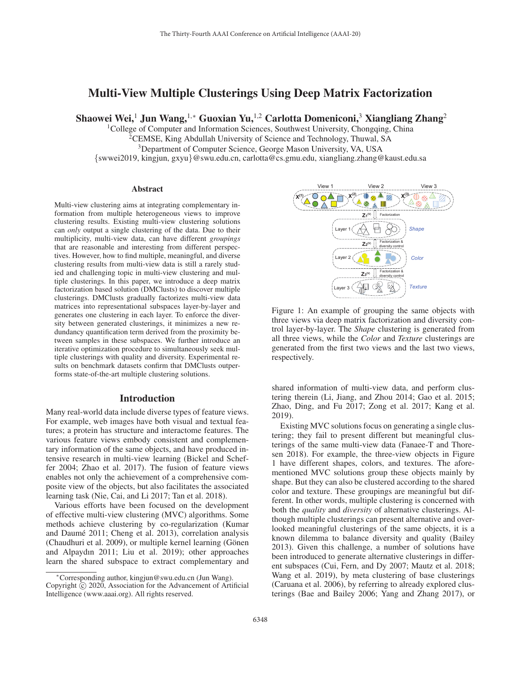# Multi-View Multiple Clusterings Using Deep Matrix Factorization

Shaowei Wei,<sup>1</sup> Jun Wang,<sup>1,∗</sup> Guoxian Yu,<sup>1,2</sup> Carlotta Domeniconi,<sup>3</sup> Xiangliang Zhang<sup>2</sup>

<sup>1</sup>College of Computer and Information Sciences, Southwest University, Chongqing, China

<sup>2</sup>CEMSE, King Abdullah University of Science and Technology, Thuwal, SA

<sup>3</sup>Department of Computer Science, George Mason University, VA, USA

{swwei2019, kingjun, gxyu}@swu.edu.cn, carlotta@cs.gmu.edu, xiangliang.zhang@kaust.edu.sa

#### Abstract

Multi-view clustering aims at integrating complementary information from multiple heterogeneous views to improve clustering results. Existing multi-view clustering solutions can *only* output a single clustering of the data. Due to their multiplicity, multi-view data, can have different *groupings* that are reasonable and interesting from different perspectives. However, how to find multiple, meaningful, and diverse clustering results from multi-view data is still a rarely studied and challenging topic in multi-view clustering and multiple clusterings. In this paper, we introduce a deep matrix factorization based solution (DMClusts) to discover multiple clusterings. DMClusts gradually factorizes multi-view data matrices into representational subspaces layer-by-layer and generates one clustering in each layer. To enforce the diversity between generated clusterings, it minimizes a new redundancy quantification term derived from the proximity between samples in these subspaces. We further introduce an iterative optimization procedure to simultaneously seek multiple clusterings with quality and diversity. Experimental results on benchmark datasets confirm that DMClusts outperforms state-of-the-art multiple clustering solutions.

## Introduction

Many real-world data include diverse types of feature views. For example, web images have both visual and textual features; a protein has structure and interactome features. The various feature views embody consistent and complementary information of the same objects, and have produced intensive research in multi-view learning (Bickel and Scheffer 2004; Zhao et al. 2017). The fusion of feature views enables not only the achievement of a comprehensive composite view of the objects, but also facilitates the associated learning task (Nie, Cai, and Li 2017; Tan et al. 2018).

Various efforts have been focused on the development of effective multi-view clustering (MVC) algorithms. Some methods achieve clustering by co-regularization (Kumar and Daumé 2011; Cheng et al. 2013), correlation analysis (Chaudhuri et al. 2009), or multiple kernel learning (Gönen and Alpaydın 2011; Liu et al. 2019); other approaches learn the shared subspace to extract complementary and



Figure 1: An example of grouping the same objects with three views via deep matrix factorization and diversity control layer-by-layer. The *Shape* clustering is generated from all three views, while the *Color* and *Texture* clusterings are generated from the first two views and the last two views, respectively.

shared information of multi-view data, and perform clustering therein (Li, Jiang, and Zhou 2014; Gao et al. 2015; Zhao, Ding, and Fu 2017; Zong et al. 2017; Kang et al. 2019).

Existing MVC solutions focus on generating a single clustering; they fail to present different but meaningful clusterings of the same multi-view data (Fanaee-T and Thoresen 2018). For example, the three-view objects in Figure 1 have different shapes, colors, and textures. The aforementioned MVC solutions group these objects mainly by shape. But they can also be clustered according to the shared color and texture. These groupings are meaningful but different. In other words, multiple clustering is concerned with both the *quality* and *diversity* of alternative clusterings. Although multiple clusterings can present alternative and overlooked meaningful clusterings of the same objects, it is a known dilemma to balance diversity and quality (Bailey 2013). Given this challenge, a number of solutions have been introduced to generate alternative clusterings in different subspaces (Cui, Fern, and Dy 2007; Mautz et al. 2018; Wang et al. 2019), by meta clustering of base clusterings (Caruana et al. 2006), by referring to already explored clusterings (Bae and Bailey 2006; Yang and Zhang 2017), or

<sup>∗</sup>Corresponding author, kingjun@swu.edu.cn (Jun Wang). Copyright  $\odot$  2020, Association for the Advancement of Artificial Intelligence (www.aaai.org). All rights reserved.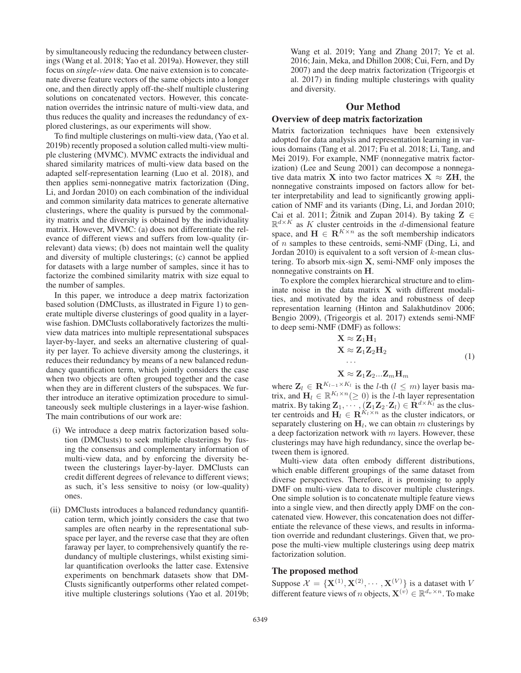by simultaneously reducing the redundancy between clusterings (Wang et al. 2018; Yao et al. 2019a). However, they still focus on *single-view* data. One naive extension is to concatenate diverse feature vectors of the same objects into a longer one, and then directly apply off-the-shelf multiple clustering solutions on concatenated vectors. However, this concatenation overrides the intrinsic nature of multi-view data, and thus reduces the quality and increases the redundancy of explored clusterings, as our experiments will show.

To find multiple clusterings on multi-view data, (Yao et al. 2019b) recently proposed a solution called multi-view multiple clustering (MVMC). MVMC extracts the individual and shared similarity matrices of multi-view data based on the adapted self-representation learning (Luo et al. 2018), and then applies semi-nonnegative matrix factorization (Ding, Li, and Jordan 2010) on each combination of the individual and common similarity data matrices to generate alternative clusterings, where the quality is pursued by the commonality matrix and the diversity is obtained by the individuality matrix. However, MVMC: (a) does not differentiate the relevance of different views and suffers from low-quality (irrelevant) data views; (b) does not maintain well the quality and diversity of multiple clusterings; (c) cannot be applied for datasets with a large number of samples, since it has to factorize the combined similarity matrix with size equal to the number of samples.

In this paper, we introduce a deep matrix factorization based solution (DMClusts, as illustrated in Figure 1) to generate multiple diverse clusterings of good quality in a layerwise fashion. DMClusts collaboratively factorizes the multiview data matrices into multiple representational subspaces layer-by-layer, and seeks an alternative clustering of quality per layer. To achieve diversity among the clusterings, it reduces their redundancy by means of a new balanced redundancy quantification term, which jointly considers the case when two objects are often grouped together and the case when they are in different clusters of the subspaces. We further introduce an iterative optimization procedure to simultaneously seek multiple clusterings in a layer-wise fashion. The main contributions of our work are:

- (i) We introduce a deep matrix factorization based solution (DMClusts) to seek multiple clusterings by fusing the consensus and complementary information of multi-view data, and by enforcing the diversity between the clusterings layer-by-layer. DMClusts can credit different degrees of relevance to different views; as such, it's less sensitive to noisy (or low-quality) ones.
- (ii) DMClusts introduces a balanced redundancy quantification term, which jointly considers the case that two samples are often nearby in the representational subspace per layer, and the reverse case that they are often faraway per layer, to comprehensively quantify the redundancy of multiple clusterings, whilst existing similar quantification overlooks the latter case. Extensive experiments on benchmark datasets show that DM-Clusts significantly outperforms other related competitive multiple clusterings solutions (Yao et al. 2019b;

Wang et al. 2019; Yang and Zhang 2017; Ye et al. 2016; Jain, Meka, and Dhillon 2008; Cui, Fern, and Dy 2007) and the deep matrix factorization (Trigeorgis et al. 2017) in finding multiple clusterings with quality and diversity.

## Our Method

## Overview of deep matrix factorization

Matrix factorization techniques have been extensively adopted for data analysis and representation learning in various domains (Tang et al. 2017; Fu et al. 2018; Li, Tang, and Mei 2019). For example, NMF (nonnegative matrix factorization) (Lee and Seung 2001) can decompose a nonnegative data matrix **X** into two factor matrices  $X \approx ZH$ , the nonnegative constraints imposed on factors allow for better interpretability and lead to significantly growing application of NMF and its variants (Ding, Li, and Jordan 2010; Cai et al. 2011; Žitnik and Zupan 2014). By taking  $\mathbf{Z} \in$  $\mathbb{R}^{d \times K}$  as K cluster centroids in the d-dimensional feature space, and  $\mathbf{H} \in \mathbb{R}^{K \times n}$  as the soft membership indicators of n samples to these centroids, semi-NMF (Ding, Li, and Jordan 2010) is equivalent to a soft version of  $k$ -mean clustering. To absorb mix-sign **X**, semi-NMF only imposes the nonnegative constraints on **H**.

To explore the complex hierarchical structure and to eliminate noise in the data matrix **X** with different modalities, and motivated by the idea and robustness of deep representation learning (Hinton and Salakhutdinov 2006; Bengio 2009), (Trigeorgis et al. 2017) extends semi-NMF to deep semi-NMF (DMF) as follows:

$$
\mathbf{X} \approx \mathbf{Z}_1 \mathbf{H}_1
$$
  
\n
$$
\mathbf{X} \approx \mathbf{Z}_1 \mathbf{Z}_2 \mathbf{H}_2
$$
  
\n...  
\n
$$
\mathbf{X} \approx \mathbf{Z}_1 \mathbf{Z}_2 ... \mathbf{Z}_m \mathbf{H}_m
$$
  
\n(1)

where  $\mathbf{Z}_l \in \mathbf{R}^{K_{l-1} \times K_l}$  is the *l*-th  $(l \leq m)$  layer basis matrix, and  $\mathbf{H}_l \in \mathbb{R}^{K_l \times n} (\geq 0)$  is the *l*-th layer representation matrix. By taking  $\mathbf{Z}_1, \dots, (\mathbf{Z}_1 \mathbf{Z}_2 \cdot \mathbf{Z}_l) \in \mathbf{R}^{d \times K_l^{\dagger}}$  as the cluster centroids and  $\mathbf{H}_{l} \in \mathbf{R}^{K_l \times n}$  as the cluster indicators, or separately clustering on  $H_l$ , we can obtain m clusterings by a deep factorization network with  $m$  layers. However, these clusterings may have high redundancy, since the overlap between them is ignored.

Multi-view data often embody different distributions, which enable different groupings of the same dataset from diverse perspectives. Therefore, it is promising to apply DMF on multi-view data to discover multiple clusterings. One simple solution is to concatenate multiple feature views into a single view, and then directly apply DMF on the concatenated view. However, this concatenation does not differentiate the relevance of these views, and results in information override and redundant clusterings. Given that, we propose the multi-view multiple clusterings using deep matrix factorization solution.

# The proposed method

Suppose  $\mathcal{X} = {\{\mathbf{X}^{(1)}, \mathbf{X}^{(2)}, \cdots, \mathbf{X}^{(V)}\}}$  is a dataset with V different feature views of n objects,  $\mathbf{X}^{(\nu)} \in \mathbb{R}^{d_v \times n}$ . To make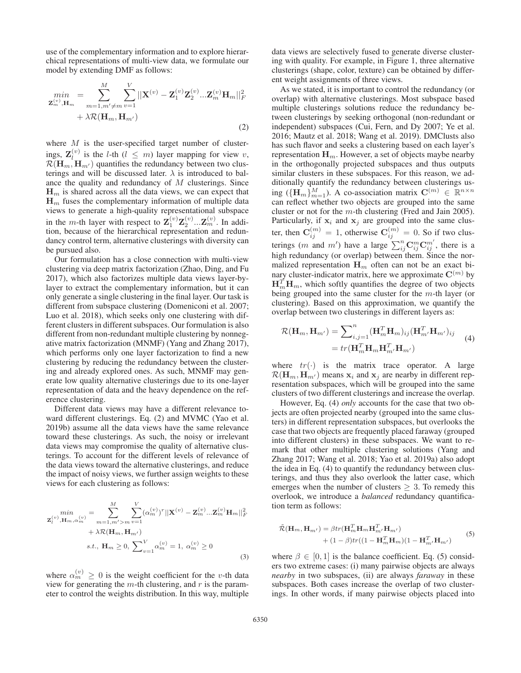use of the complementary information and to explore hierarchical representations of multi-view data, we formulate our model by extending DMF as follows:

$$
\min_{\mathbf{Z}_{m}^{(v)},\mathbf{H}_{m}} = \sum_{m=1,m'\neq m}^{M} \sum_{v=1}^{V} ||\mathbf{X}^{(v)} - \mathbf{Z}_{1}^{(v)} \mathbf{Z}_{2}^{(v)} ... \mathbf{Z}_{m}^{(v)} \mathbf{H}_{m}||_{F}^{2} + \lambda \mathcal{R}(\mathbf{H}_{m}, \mathbf{H}_{m'})
$$
\n(2)

where  $M$  is the user-specified target number of clusterings,  $\mathbf{Z}_{l}^{(v)}$  is the *l*-th  $(l \leq m)$  layer mapping for view v,  $\mathcal{R}(\mathbf{H}_{m}, \mathbf{H}_{m})$  quantifies the redundancy between two clusterings and will be discussed later.  $\lambda$  is introduced to balance the quality and redundancy of  $M$  clusterings. Since  $H_m$  is shared across all the data views, we can expect that  $H_m$  fuses the complementary information of multiple data views to generate a high-quality representational subspace in the m-th layer with respect to  $\mathbf{Z}_1^{(v)}\mathbf{Z}_2^{(v)}\dots\mathbf{Z}_m^{(v)}$ . In addition, because of the hierarchical representation and redundancy control term, alternative clusterings with diversity can be pursued also.

Our formulation has a close connection with multi-view clustering via deep matrix factorization (Zhao, Ding, and Fu 2017), which also factorizes multiple data views layer-bylayer to extract the complementary information, but it can only generate a single clustering in the final layer. Our task is different from subspace clustering (Domeniconi et al. 2007; Luo et al. 2018), which seeks only one clustering with different clusters in different subspaces. Our formulation is also different from non-redundant multiple clustering by nonnegative matrix factorization (MNMF) (Yang and Zhang 2017), which performs only one layer factorization to find a new clustering by reducing the redundancy between the clustering and already explored ones. As such, MNMF may generate low quality alternative clusterings due to its one-layer representation of data and the heavy dependence on the reference clustering.

Different data views may have a different relevance toward different clusterings. Eq. (2) and MVMC (Yao et al. 2019b) assume all the data views have the same relevance toward these clusterings. As such, the noisy or irrelevant data views may compromise the quality of alternative clusterings. To account for the different levels of relevance of the data views toward the alternative clusterings, and reduce the impact of noisy views, we further assign weights to these views for each clustering as follows:

$$
min_{\mathbf{Z}_{l}^{(v)}, \mathbf{H}_{m}, \alpha_{m}^{(v)}} = \sum_{m=1, m' > m}^{M} \sum_{v=1}^{V} (\alpha_{m}^{(v)})^{r} ||\mathbf{X}^{(v)} - \mathbf{Z}_{m}^{(v)} ... \mathbf{Z}_{m}^{(v)} \mathbf{H}_{m}||_{F}^{2} + \lambda \mathcal{R}(\mathbf{H}_{m}, \mathbf{H}_{m'})
$$
  
s.t.,  $\mathbf{H}_{m} \ge 0$ ,  $\sum_{v=1}^{V} \alpha_{m}^{(v)} = 1$ ,  $\alpha_{m}^{(v)} \ge 0$  (3)

where  $\alpha_m^{(v)} \geq 0$  is the weight coefficient for the *v*-th data view for generating the  $m$ -th clustering, and  $r$  is the parameter to control the weights distribution. In this way, multiple

data views are selectively fused to generate diverse clustering with quality. For example, in Figure 1, three alternative clusterings (shape, color, texture) can be obtained by different weight assignments of three views.

As we stated, it is important to control the redundancy (or overlap) with alternative clusterings. Most subspace based multiple clusterings solutions reduce the redundancy between clusterings by seeking orthogonal (non-redundant or independent) subspaces (Cui, Fern, and Dy 2007; Ye et al. 2016; Mautz et al. 2018; Wang et al. 2019). DMClusts also has such flavor and seeks a clustering based on each layer's representation  $\mathbf{H}_m$ . However, a set of objects maybe nearby in the orthogonally projected subspaces and thus outputs similar clusters in these subspaces. For this reason, we additionally quantify the redundancy between clusterings using  $(\{\mathbf{H}_m\}_{m=1}^M)$ . A co-association matrix  $\mathbf{C}^{(m)} \in \mathbb{R}^{n \times n}$ can reflect whether two objects are grouped into the same cluster or not for the m-th clustering (Fred and Jain 2005). Particularly, if  $x_i$  and  $x_j$  are grouped into the same cluster, then  $\mathbf{C}_{ii}^{(m)} = 1$ , otherwise  $\mathbf{C}_{ii}^{(m)} = 0$ . So if two clusterings (*m* and *m'*) have a large  $\sum_{i=1}^{n} C_{ij}^{m} C_{ij}^{m'}$ , there is a high redundancy (or overlap) between them. Since the normalized representation  $H_m$  often can not be an exact binary cluster-indicator matrix, here we approximate  $\mathbf{C}^{(m)}$  by  $H_m^{\mathcal{T}}$ **H**<sub>m</sub>, which softly quantifies the degree of two objects being grouped into the same cluster for the  $m$ -th layer (or clustering). Based on this approximation, we quantify the overlap between two clusterings in different layers as:

$$
\mathcal{R}(\mathbf{H}_{m}, \mathbf{H}_{m'}) = \sum_{i,j=1}^{n} (\mathbf{H}_{m}^{T} \mathbf{H}_{m})_{ij} (\mathbf{H}_{m'}^{T} \mathbf{H}_{m'})_{ij}
$$
  
=  $tr(\mathbf{H}_{m}^{T} \mathbf{H}_{m} \mathbf{H}_{m'}^{T} \mathbf{H}_{m'})$  (4)

where  $tr(\cdot)$  is the matrix trace operator. A large  $\mathcal{R}(\mathbf{H}_m, \mathbf{H}_{m'}^{\text{}})$  means  $\mathbf{x}_i$  and  $\mathbf{x}_j$  are nearby in different representation subspaces, which will be grouped into the same clusters of two different clusterings and increase the overlap.

However, Eq. (4) *only* accounts for the case that two objects are often projected nearby (grouped into the same clusters) in different representation subspaces, but overlooks the case that two objects are frequently placed faraway (grouped into different clusters) in these subspaces. We want to remark that other multiple clustering solutions (Yang and Zhang 2017; Wang et al. 2018; Yao et al. 2019a) also adopt the idea in Eq. (4) to quantify the redundancy between clusterings, and thus they also overlook the latter case, which emerges when the number of clusters  $\geq$  3. To remedy this overlook, we introduce a *balanced* redundancy quantification term as follows:

$$
\tilde{\mathcal{R}}(\mathbf{H}_m, \mathbf{H}_{m'}) = \beta tr(\mathbf{H}_m^T \mathbf{H}_m \mathbf{H}_{m'}^T \mathbf{H}_{m'}) + (1 - \beta) tr((1 - \mathbf{H}_m^T \mathbf{H}_m)(1 - \mathbf{H}_{m'}^T \mathbf{H}_{m'})
$$
\n(5)

where  $\beta \in [0, 1]$  is the balance coefficient. Eq. (5) considers two extreme cases: (i) many pairwise objects are always *nearby* in two subspaces, (ii) are always *faraway* in these subspaces. Both cases increase the overlap of two clusterings. In other words, if many pairwise objects placed into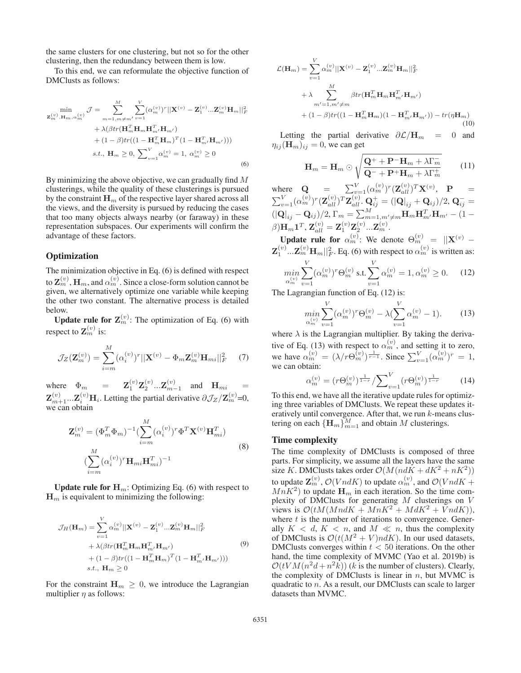the same clusters for one clustering, but not so for the other clustering, then the redundancy between them is low.

To this end, we can reformulate the objective function of DMClusts as follows:

$$
\min_{\mathbf{z}_{m}^{(v)}, \mathbf{H}_{m}, \alpha_{m}^{(v)}} \mathcal{J} = \sum_{m=1, m \neq m'}^{M} \sum_{v=1}^{V} (\alpha_{m}^{(v)})^{r} ||\mathbf{X}^{(v)} - \mathbf{Z}_{1}^{(v)} ... \mathbf{Z}_{m}^{(v)} \mathbf{H}_{m}||_{F}^{2} + \lambda(\beta tr(\mathbf{H}_{m}^{T} \mathbf{H}_{m} \mathbf{H}_{m'}^{T} \mathbf{H}_{m'}) + (1 - \beta) tr((1 - \mathbf{H}_{m}^{T} \mathbf{H}_{m})^{T} (1 - \mathbf{H}_{m'}^{T} \mathbf{H}_{m'}))) s.t., \mathbf{H}_{m} \ge 0, \sum_{v=1}^{V} \alpha_{m}^{(v)} = 1, \alpha_{m}^{(v)} \ge 0
$$
\n(6)

By minimizing the above objective, we can gradually find  $M$ clusterings, while the quality of these clusterings is pursued by the constraint  $\mathbf{H}_m$  of the respective layer shared across all the views, and the diversity is pursued by reducing the cases that too many objects always nearby (or faraway) in these representation subspaces. Our experiments will confirm the advantage of these factors.

## **Optimization**

The minimization objective in Eq. (6) is defined with respect to  $\mathbf{Z}_{m}^{(v)}$ ,  $\mathbf{H}_{m}$ , and  $\alpha_{m}^{(v)}$ . Since a close-form solution cannot be given, we alternatively optimize one variable while keeping the other two constant. The alternative process is detailed below.

**Update rule for**  $\mathbf{Z}_m^{(v)}$ **: The optimization of Eq. (6) with** respect to  $\mathbf{Z}_m^{(v)}$  is:

$$
\mathcal{J}_Z(\mathbf{Z}_m^{(v)}) = \sum_{i=m}^M (\alpha_i^{(v)})^r ||\mathbf{X}^{(v)} - \Phi_m \mathbf{Z}_m^{(v)} \mathbf{H}_{mi}||_F^2 \qquad (7)
$$

where  $\Phi_m$  =  $\mathbf{Z}_1^{(v)} \mathbf{Z}_2^{(v)} ... \mathbf{Z}_{m-1}^{(v)}$  and  $\mathbf{H}_{mi}$  =  $\mathbf{Z}_{m+1}^{(v)}... \mathbf{Z}_{i}^{(v)}\mathbf{H}_{i}$ . Letting the partial derivative  $\partial \mathcal{J}_{Z}/\mathbf{Z}_{m}^{(v)}$ =0, we can obtain

$$
\mathbf{Z}_{m}^{(v)} = (\Phi_{m}^{T} \Phi_{m})^{-1} \left( \sum_{i=m}^{M} (\alpha_{i}^{(v)})^{r} \Phi^{T} \mathbf{X}^{(v)} \mathbf{H}_{mi}^{T} \right)
$$
  

$$
\left( \sum_{i=m}^{M} (\alpha_{i}^{(v)})^{r} \mathbf{H}_{mi} \mathbf{H}_{mi}^{T} \right)^{-1}
$$
 (8)

**Update rule for**  $H_m$ **: Optimizing Eq. (6) with respect to**  $\mathbf{H}_m$  is equivalent to minimizing the following:

$$
\mathcal{J}_H(\mathbf{H}_m) = \sum_{v=1}^V \alpha_m^{(v)} ||\mathbf{X}^{(v)} - \mathbf{Z}_1^{(v)} ... \mathbf{Z}_m^{(v)} \mathbf{H}_m||_F^2 \n+ \lambda(\beta tr(\mathbf{H}_m^T \mathbf{H}_m \mathbf{H}_{m'}^T \mathbf{H}_{m'}) \n+ (1 - \beta) tr((1 - \mathbf{H}_m^T \mathbf{H}_m)^T (1 - \mathbf{H}_{m'}^T \mathbf{H}_{m'}))) \ns.t., \mathbf{H}_m \ge 0
$$
\n(9)

For the constraint  $\mathbf{H}_m \geq 0$ , we introduce the Lagrangian multiplier  $\eta$  as follows:

$$
\mathcal{L}(\mathbf{H}_m) = \sum_{v=1}^{V} \alpha_m^{(v)} ||\mathbf{X}^{(v)} - \mathbf{Z}_1^{(v)} ... \mathbf{Z}_m^{(v)} \mathbf{H}_m||_F^2
$$
  
+  $\lambda \sum_{m'=1, m'\neq m}^{M} \beta tr(\mathbf{H}_m^T \mathbf{H}_m \mathbf{H}_m^T, \mathbf{H}_{m'})$   
+  $(1 - \beta) tr((1 - \mathbf{H}_m^T \mathbf{H}_m)(1 - \mathbf{H}_{m'}^T \mathbf{H}_{m'})) - tr(\eta \mathbf{H}_m)$  (10)

Letting the partial derivative  $\partial \mathcal{L}/\mathbf{H}_m = 0$  and  $\eta_{ij}(\mathbf{H}_m)_{ij} = 0$ , we can get

$$
\mathbf{H}_{m} = \mathbf{H}_{m} \odot \sqrt{\frac{\mathbf{Q}^{+} + \mathbf{P}^{-} \mathbf{H}_{m} + \lambda \Gamma_{m}^{-}}{\mathbf{Q}^{-} + \mathbf{P}^{+} \mathbf{H}_{m} + \lambda \Gamma_{m}^{+}}} \qquad (11)
$$

where  $\mathbf{Q} = \sum_{v=1}^{V} (\alpha_m^{(v)})^r (\mathbf{Z}_{all}^{(v)})^T \mathbf{X}^{(v)}, \quad \mathbf{P} =$  $\sum_{v=1}^{V} (\alpha_{m}^{(v)})^{r} (\mathbf{Z}_{all}^{(v)})^{T} \mathbf{Z}_{all}^{(v)}. \mathbf{Q}_{ij}^{+} = (|\mathbf{Q}|_{ij} + \mathbf{Q}_{ij})/2, \mathbf{Q}_{ij}^{-} =$  $(|\mathbf{Q}|_{ij} - \mathbf{Q}_{ij})/2$ ,  $\Gamma_m = \sum_{m=1,m'\neq m}^{M} \mathbf{H}_{m} \mathbf{H}_{m'}^T \mathbf{H}_{m'} - (1 - \mathbf{Q}_{mi})^T$  $\beta) \overline{\mathbf{H}}_m \mathbf{1}^T, \, \mathbf{Z}_{all}^{(v)} = \mathbf{Z}^{(v)}_1 \mathbf{Z}^{(v)}_2 ... \mathbf{Z}^{(v)}_m.$ 

Update rule for  $\alpha_m^{(v)}$ : We denote  $\Theta_m^{(v)} = ||\mathbf{X}^{(v)} - \mathbf{X}^{(v)}||$  $\mathbf{Z}_1^{(v)}... \mathbf{Z}_m^{(v)} \mathbf{H}_m ||_F^2$ . Eq. (6) with respect to  $\alpha_m^{(v)}$  is written as: V V

$$
\min_{\alpha_m^{(v)}} \sum_{v=1} (\alpha_m^{(v)})^r \Theta_m^{(v)} \text{ s.t. } \sum_{v=1} \alpha_m^{(v)} = 1, \alpha_m^{(v)} \ge 0. \tag{12}
$$

The Lagrangian function of Eq. (12) is:

$$
\min_{\alpha_m^{(v)}} \sum_{v=1}^V (\alpha_m^{(v)})^r \Theta_m^{(v)} - \lambda (\sum_{v=1}^V \alpha_m^{(v)} - 1). \tag{13}
$$

where  $\lambda$  is the Lagrangian multiplier. By taking the derivative of Eq. (13) with respect to  $\alpha_m^{(v)}$ , and setting it to zero, we have  $\alpha_m^{(v)} = (\lambda/r \Theta_m^{(v)})^{\frac{1}{r-1}}$ . Since  $\sum_{v=1}^{V} (\alpha_m^{(v)})^r = 1$ , we can obtain:

$$
\alpha_m^{(v)} = (r \Theta_m^{(v)})^{\frac{1}{1-r}} / \sum_{v=1}^V (r \Theta_m^{(v)})^{\frac{1}{1-r}}
$$
(14)

To this end, we have all the iterative update rules for optimizing three variables of DMClusts. We repeat these updates iteratively until convergence. After that, we run  $k$ -means clustering on each  ${\{\mathbf H}_m\}_{m=1}^M$  and obtain M clusterings.

## Time complexity

The time complexity of DMClusts is composed of three parts. For simplicity, we assume all the layers have the same size K. DMClusts takes order  $\mathcal{O}(M(ndK + dK^2 + nK^2))$ to update  $\mathbf{Z}_m^{(v)}$ ,  $\mathcal{O}(VndK)$  to update  $\alpha_m^{(v)}$ , and  $\mathcal{O}(VndK +$  $MnK^2$ ) to update  $\mathbf{H}_m$  in each iteration. So the time complexity of DMClusts for generating  $M$  clusterings on  $V$ views is  $\mathcal{O}(tM(MndK + MnK^2 + MdK^2 + VndK)),$ where  $t$  is the number of iterations to convergence. Generally  $K < d$ ,  $K < n$ , and  $M < n$ , thus the complexity of DMClusts is  $\mathcal{O}(t(M^2 + V)ndK)$ . In our used datasets, DMClusts converges within  $t < 50$  iterations. On the other hand, the time complexity of MVMC (Yao et al. 2019b) is  $\mathcal{O}(tVM(n^2d+n^2k))$  (k is the number of clusters). Clearly, the complexity of DMClusts is linear in  $n$ , but MVMC is quadratic to n. As a result, our DMClusts can scale to larger datasets than MVMC.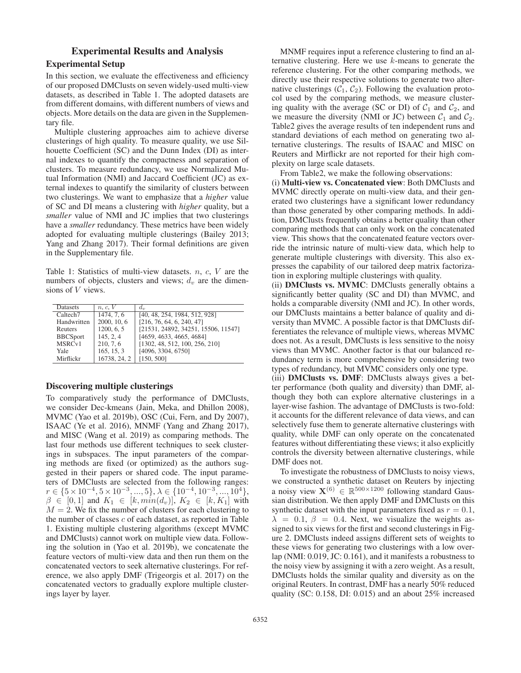# Experimental Results and Analysis Experimental Setup

In this section, we evaluate the effectiveness and efficiency of our proposed DMClusts on seven widely-used multi-view datasets, as described in Table 1. The adopted datasets are from different domains, with different numbers of views and objects. More details on the data are given in the Supplementary file.

Multiple clustering approaches aim to achieve diverse clusterings of high quality. To measure quality, we use Silhouette Coefficient (SC) and the Dunn Index (DI) as internal indexes to quantify the compactness and separation of clusters. To measure redundancy, we use Normalized Mutual Information (NMI) and Jaccard Coefficient (JC) as external indexes to quantify the similarity of clusters between two clusterings. We want to emphasize that a *higher* value of SC and DI means a clustering with *higher* quality, but a *smaller* value of NMI and JC implies that two clusterings have a *smaller* redundancy. These metrics have been widely adopted for evaluating multiple clusterings (Bailey 2013; Yang and Zhang 2017). Their formal definitions are given in the Supplementary file.

Table 1: Statistics of multi-view datasets.  $n, c, V$  are the numbers of objects, clusters and views;  $d_v$  are the dimensions of V views.

| <b>Datasets</b>      | n, c, V                  | $d_{\eta}$                          |
|----------------------|--------------------------|-------------------------------------|
| Caltech <sub>7</sub> | $\overline{1474}$ , 7, 6 | [40, 48, 254, 1984, 512, 928]       |
| Handwritten          | 2000, 10, 6              | [216, 76, 64, 6, 240, 47]           |
| Reuters              | 1200, 6, 5               | [21531, 24892, 34251, 15506, 11547] |
| <b>BBCSport</b>      | 145, 2, 4                | [4659, 4633, 4665, 4684]            |
| MSRC <sub>v1</sub>   | 210, 7, 6                | [1302, 48, 512, 100, 256, 210]      |
| Yale                 | 165, 15, 3               | [4096, 3304, 6750]                  |
| Mirflickr            | 16738, 24, 2             | [150, 500]                          |

## Discovering multiple clusterings

To comparatively study the performance of DMClusts, we consider Dec-kmeans (Jain, Meka, and Dhillon 2008), MVMC (Yao et al. 2019b), OSC (Cui, Fern, and Dy 2007), ISAAC (Ye et al. 2016), MNMF (Yang and Zhang 2017), and MISC (Wang et al. 2019) as comparing methods. The last four methods use different techniques to seek clusterings in subspaces. The input parameters of the comparing methods are fixed (or optimized) as the authors suggested in their papers or shared code. The input parameters of DMClusts are selected from the following ranges:  $r \in \{5 \times 10^{-4}, 5 \times 10^{-3}, ..., 5\}, \lambda \in \{10^{-4}, 10^{-3}, ..., 10^{4}\},\$  $\beta \in [0,1]$  and  $K_1 \in [k, min(d_v)], K_2 \in [k, K_1]$  with  $M = 2$ . We fix the number of clusters for each clustering to the number of classes  $c$  of each dataset, as reported in Table 1. Existing multiple clustering algorithms (except MVMC and DMClusts) cannot work on multiple view data. Following the solution in (Yao et al. 2019b), we concatenate the feature vectors of multi-view data and then run them on the concatenated vectors to seek alternative clusterings. For reference, we also apply DMF (Trigeorgis et al. 2017) on the concatenated vectors to gradually explore multiple clusterings layer by layer.

(i) Multi-view vs. Concatenated view: Both DMClusts and MVMC directly operate on multi-view data, and their generated two clusterings have a significant lower redundancy than those generated by other comparing methods. In addition, DMClusts frequently obtains a better quality than other comparing methods that can only work on the concatenated view. This shows that the concatenated feature vectors override the intrinsic nature of multi-view data, which help to generate multiple clusterings with diversity. This also expresses the capability of our tailored deep matrix factoriza-

tion in exploring multiple clusterings with quality. (ii) DMClusts vs. MVMC: DMClusts generally obtains a significantly better quality (SC and DI) than MVMC, and holds a comparable diversity (NMI and JC). In other words, our DMClusts maintains a better balance of quality and diversity than MVMC. A possible factor is that DMClusts differentiates the relevance of multiple views, whereas MVMC does not. As a result, DMClusts is less sensitive to the noisy views than MVMC. Another factor is that our balanced redundancy term is more comprehensive by considering two types of redundancy, but MVMC considers only one type.

(iii) DMClusts vs. DMF: DMClusts always gives a better performance (both quality and diversity) than DMF, although they both can explore alternative clusterings in a layer-wise fashion. The advantage of DMClusts is two-fold: it accounts for the different relevance of data views, and can selectively fuse them to generate alternative clusterings with quality, while DMF can only operate on the concatenated features without differentiating these views; it also explicitly controls the diversity between alternative clusterings, while DMF does not.

To investigate the robustness of DMClusts to noisy views, we constructed a synthetic dataset on Reuters by injecting a noisy view  $\mathbf{X}^{(6)} \in \mathbb{R}^{500 \times 1200}$  following standard Gaussian distribution. We then apply DMF and DMClusts on this synthetic dataset with the input parameters fixed as  $r = 0.1$ ,  $\lambda = 0.1, \beta = 0.4$ . Next, we visualize the weights assigned to six views for the first and second clusterings in Figure 2. DMClusts indeed assigns different sets of weights to these views for generating two clusterings with a low overlap (NMI: 0.019, JC: 0.161), and it manifests a robustness to the noisy view by assigning it with a zero weight. As a result, DMClusts holds the similar quality and diversity as on the original Reuters. In contrast, DMF has a nearly 50% reduced quality (SC: 0.158, DI: 0.015) and an about 25% increased

MNMF requires input a reference clustering to find an alternative clustering. Here we use  $k$ -means to generate the reference clustering. For the other comparing methods, we directly use their respective solutions to generate two alternative clusterings  $(C_1, C_2)$ . Following the evaluation protocol used by the comparing methods, we measure clustering quality with the average (SC or DI) of  $C_1$  and  $C_2$ , and we measure the diversity (NMI or JC) between  $C_1$  and  $C_2$ . Table2 gives the average results of ten independent runs and standard deviations of each method on generating two alternative clusterings. The results of ISAAC and MISC on Reuters and Mirflickr are not reported for their high complexity on large scale datasets.

From Table2, we make the following observations: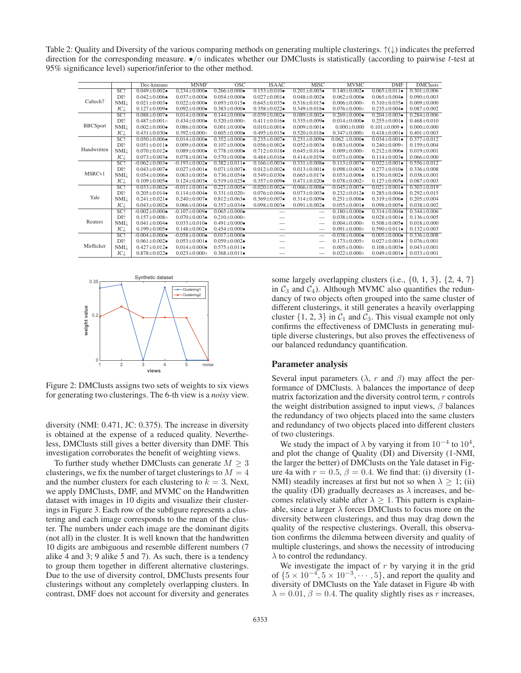Table 2: Quality and Diversity of the various comparing methods on generating multiple clusterings. ↑(↓) indicates the preferred direction for the corresponding measure. •/◦ indicates whether our DMClusts is statistically (according to pairwise t-test at 95% significance level) superior/inferior to the other method.

|                      |                 | Dec-kmeans                 | <b>MNMF</b>                | $\overline{\mathrm{osc}}$ | <b>ISAAC</b>              | <b>MISC</b>               | <b>MVMC</b>                | <b>DMF</b>                  | <b>DMClusts</b>   |
|----------------------|-----------------|----------------------------|----------------------------|---------------------------|---------------------------|---------------------------|----------------------------|-----------------------------|-------------------|
| Caltech <sub>7</sub> | SC <sub>1</sub> | $0.049 \pm 0.002$          | $0.234 \pm 0.000 \bullet$  | $0.266 \pm 0.000 \bullet$ | $0.153 \pm 0.010 \bullet$ | $0.201 \pm 0.003$         | $0.140 + 0.002$            | $0.065 \pm 0.011$           | $0.301 \pm 0.006$ |
|                      | DI <sup>+</sup> | $0.042 \pm 0.006 \bullet$  | $0.037 \pm 0.000 \bullet$  | $0.054 \pm 0.000 \bullet$ | $0.027 \pm 0.001 \bullet$ | $0.048 + 0.002 \bullet$   | $0.062 \pm 0.000 \bullet$  | $0.065 + 0.004 \bullet$     | $0.090 + 0.003$   |
|                      | <b>NMI</b>      | $0.021 \pm 0.003$          | $0.022 \pm 0.000 \bullet$  | $0.693 \pm 0.015$         | $0.645 \pm 0.035$         | $0.516 \pm 0.015$         | $0.006 \pm 0.000$          | $0.310 \pm 0.035$           | $0.009 \pm 0.000$ |
|                      | <b>JC</b>       | $0.127 \pm 0.009$          | $0.092 \pm 0.000 \bullet$  | $0.383 \pm 0.000 \bullet$ | $0.358 \pm 0.022$         | $0.349 \pm 0.018 \bullet$ | $0.076 \pm 0.000$          | $0.235 \pm 0.004 \bullet$   | $0.087 \pm 0.002$ |
| <b>BBCSport</b>      | SC <sup>+</sup> | $0.088 \pm 0.007$          | $0.014 + 0.000 \bullet$    | $0.144 \pm 0.000 \bullet$ | $-0.039 \pm 0.002$        | $0.089 + 0.002$           | $0.269 \pm 0.000 \bullet$  | $0.204 \pm 0.003$           | $0.284 \pm 0.006$ |
|                      | DI <sup>+</sup> | $0.487 \pm 0.001$ o        | $0.434 \pm 0.000 \bullet$  | $0.520 \pm 0.000$         | $0.411 \pm 0.016$         | $0.335 \pm 0.009$         | $0.014 \pm 0.000 \bullet$  | $0.255 \pm 0.001 \bullet$   | $0.468 \pm 0.010$ |
|                      | <b>NMI</b>      | $0.002 \pm 0.000 \bullet$  | $0.086 \pm 0.000 \bullet$  | $0.001 \pm 0.000 \bullet$ | $0.010 \pm 0.001$         | $0.009 \pm 0.001 \bullet$ | $0.000 \pm 0.000$          | $0.101 \pm 0.009$ $\bullet$ | $0.000 \pm 0.000$ |
|                      | JC.             | $0.431 \pm 0.030$          | $0.392 + 0.000$ o          | $0.605 \pm 0.000 \bullet$ | $0.495 \pm 0.015$         | $0.520 \pm 0.018$         | $0.347 \pm 0.000$          | $0.418 \pm 0.001$           | $0.401 \pm 0.003$ |
| Handwritten          | SC <sub>1</sub> | $0.050 \pm 0.006$          | $0.014 \pm 0.000 \bullet$  | $0.352 \pm 0.000 \bullet$ | $0.235 \pm 0.007$ •       | $0.251 \pm 0.009$         | $0.062 \pm 0.000 \bullet$  | $0.034 \pm 0.001 \bullet$   | $0.377 \pm 0.012$ |
|                      | DI <sup>+</sup> | $0.051 \pm 0.011$          | $0.009 + 0.000 \bullet$    | $0.107 \pm 0.000 \bullet$ | $0.056 \pm 0.002 \bullet$ | $0.052 \pm 0.003 \bullet$ | $0.083 \pm 0.000 \bullet$  | $0.240 \pm 0.009$ o         | $0.159 \pm 0.004$ |
|                      | <b>NMI</b>      | $0.070 \pm 0.012$          | $0.089 \pm 0.000 \bullet$  | $0.778 \pm 0.000 \bullet$ | $0.712 \pm 0.018 \bullet$ | $0.645 \pm 0.014$         | $0.009 \pm 0.000$          | $0.212 \pm 0.006 \bullet$   | $0.019 \pm 0.001$ |
|                      | JC <sub>↓</sub> | $0.073 \pm 0.003 \bullet$  | $0.078 \pm 0.003$          | $0.570 \pm 0.000 \bullet$ | $0.484 \pm 0.016$         | $0.414 \pm 0.019$         | $0.073 \pm 0.000 \bullet$  | $0.114 \pm 0.003$           | $0.066 \pm 0.000$ |
| MSRC <sub>v1</sub>   | SC <sup>+</sup> | $-0.062 \pm 0.003$         | $-0.193 + 0.002$           | $0.382 \pm 0.011$         | $0.166 \pm 0.003 \bullet$ | $0.331 \pm 0.008 \bullet$ | $0.113 \pm 0.007$          | $0.022 \pm 0.001 \bullet$   | $0.556 \pm 0.012$ |
|                      | DI <sup>+</sup> | $0.043 \pm 0.007$          | $0.027 \pm 0.001 \bullet$  | $0.071 \pm 0.007$         | $0.012 \pm 0.002 \bullet$ | $0.013 \pm 0.001 \bullet$ | $0.098 \pm 0.003$          | $0.277 \pm 0.010 \bullet$   | $0.336 \pm 0.008$ |
|                      | NMI⊥            | $0.054 \pm 0.006 \bullet$  | $0.063 \pm 0.005$          | $0.736 \pm 0.054$         | $0.549 \pm 0.030 \bullet$ | $0.665 \pm 0.017$         | $0.053 \pm 0.006 \bullet$  | $0.150 \pm 0.002$           | $0.038 \pm 0.001$ |
|                      | JC <sub>↓</sub> | $0.109 \pm 0.005$          | $0.124 \pm 0.003 \bullet$  | $0.519 \pm 0.025$         | $0.357 \pm 0.009 \bullet$ | $0.471 \pm 0.020$         | $0.078 \pm 0.002$ o        | $0.127 \pm 0.005$           | $0.087 + 0.003$   |
| Yale                 | SC <sub>1</sub> | $0.033 \pm 0.002$          | $-0.011 \pm 0.001$         | $0.221 \pm 0.005$         | $-0.020 \pm 0.002$        | $-0.066 \pm 0.008$        | $-0.045 \pm 0.007$         | $0.021 \pm 0.001$           | $0.303 \pm 0.019$ |
|                      | DI <sup>+</sup> | $0.205 \pm 0.014 \bullet$  | $0.114 \pm 0.004 \bullet$  | $0.331 \pm 0.020$         | $0.076 \pm 0.004 \bullet$ | $0.073 \pm 0.003 \bullet$ | $0.232 \pm 0.012 \bullet$  | $0.285 \pm 0.004 \bullet$   | $0.292 \pm 0.015$ |
|                      | NMI.            | $0.241 \pm 0.021$          | $0.240 \pm 0.007$          | $0.812 \pm 0.063$         | $0.369 \pm 0.007$         | $0.314 \pm 0.009$         | $0.251 \pm 0.006 \bullet$  | $0.319 \pm 0.006 \bullet$   | $0.205 \pm 0.004$ |
|                      | JC.             | $0.043 \pm 0.002 \bullet$  | $0.066 \pm 0.004 \bullet$  | $0.357 \pm 0.034 \bullet$ | $0.098 \pm 0.003$         | $0.091 \pm 0.002 \bullet$ | $0.055 \pm 0.001 \bullet$  | $0.098 \pm 0.005$           | $0.038 \pm 0.002$ |
| Reuters              | SC <sup>+</sup> | $-0.002 \pm 0.000 \bullet$ | $-0.107 + 0.009$           | $0.065 + 0.000 \bullet$   |                           |                           | $0.180 + 0.000$            | $0.314 + 0.004 \bullet$     | $0.344 + 0.006$   |
|                      | DI <sup>+</sup> | $0.157 \pm 0.008$          | $0.070 \pm 0.003$          | $0.210 \pm 0.000$         |                           |                           | $0.038 \pm 0.000 \bullet$  | $0.028 \pm 0.001 \bullet$   | $0.136 \pm 0.005$ |
|                      | NMI⊥            | $0.041 \pm 0.004 \bullet$  | $0.033 \pm 0.010 \bullet$  | $0.491 \pm 0.000 \bullet$ |                           |                           | $0.004 \pm 0.000$          | $0.508 \pm 0.005$           | $0.018 \pm 0.000$ |
|                      | JC <sub>+</sub> | $0.199 \pm 0.005$          | $0.148 + 0.002$            | $0.454 \pm 0.000 \bullet$ | $\overline{\phantom{a}}$  |                           | $0.091 \pm 0.000$          | $0.590 \pm 0.011$           | $0.132 \pm 0.003$ |
| Mirflicker           | SC <sub>1</sub> | $-0.004 \pm 0.000 \bullet$ | $-0.058 \pm 0.000 \bullet$ | $0.017 \pm 0.000 \bullet$ |                           |                           | $-0.038 \pm 0.000 \bullet$ | $0.005 \pm 0.000 \bullet$   | $0.336 \pm 0.008$ |
|                      | DI <sup>+</sup> | $0.061 \pm 0.002 \bullet$  | $0.053 \pm 0.001 \bullet$  | $0.059 \pm 0.002 \bullet$ |                           |                           | $0.173 \pm 0.005$ o        | $0.027 \pm 0.001 \bullet$   | $0.076 \pm 0.001$ |
|                      | <b>NMI</b>      | $0.427 \pm 0.012$          | $0.014 \pm 0.000 \bullet$  | $0.575 \pm 0.011$         |                           |                           | $0.005 \pm 0.000$          | $0.108 \pm 0.003$           | $0.043 \pm 0.001$ |
|                      | JC↓             | $0.878 \pm 0.022$          | $0.023 \pm 0.000$          | $0.368 \pm 0.011$         |                           |                           | $0.022 \pm 0.000$          | $0.049 \pm 0.001 \bullet$   | $0.033 \pm 0.001$ |



Figure 2: DMClusts assigns two sets of weights to six views for generating two clusterings. The 6-th view is a *noisy* view.

diversity (NMI: 0.471, JC: 0.375). The increase in diversity is obtained at the expense of a reduced quality. Nevertheless, DMClusts still gives a better diversity than DMF. This investigation corroborates the benefit of weighting views.

To further study whether DMClusts can generate  $M \geq 3$ clusterings, we fix the number of target clusterings to  $M = 4$ and the number clusters for each clustering to  $k = 3$ . Next, we apply DMClusts, DMF, and MVMC on the Handwritten dataset with images in 10 digits and visualize their clusterings in Figure 3. Each row of the subfigure represents a clustering and each image corresponds to the mean of the cluster. The numbers under each image are the dominant digits (not all) in the cluster. It is well known that the handwritten 10 digits are ambiguous and resemble different numbers (7 alike 4 and 3; 9 alike 5 and 7). As such, there is a tendency to group them together in different alternative clusterings. Due to the use of diversity control, DMClusts presents four clusterings without any completely overlapping clusters. In contrast, DMF does not account for diversity and generates

some largely overlapping clusters (i.e.,  $\{0, 1, 3\}$ ,  $\{2, 4, 7\}$ in  $C_3$  and  $C_4$ ). Although MVMC also quantifies the redundancy of two objects often grouped into the same cluster of different clusterings, it still generates a heavily overlapping cluster  $\{1, 2, 3\}$  in  $C_1$  and  $C_3$ . This visual example not only confirms the effectiveness of DMClusts in generating multiple diverse clusterings, but also proves the effectiveness of our balanced redundancy quantification.

## Parameter analysis

Several input parameters ( $\lambda$ , r and  $\beta$ ) may affect the performance of DMClusts.  $\lambda$  balances the importance of deep matrix factorization and the diversity control term,  $r$  controls the weight distribution assigned to input views,  $\beta$  balances the redundancy of two objects placed into the same clusters and redundancy of two objects placed into different clusters of two clusterings.

We study the impact of  $\lambda$  by varying it from  $10^{-4}$  to  $10^{4}$ , and plot the change of Quality (DI) and Diversity (1-NMI, the larger the better) of DMClusts on the Yale dataset in Figure 4a with  $r = 0.5$ ,  $\beta = 0.4$ . We find that: (i) diversity (1-NMI) steadily increases at first but not so when  $\lambda \geq 1$ ; (ii) the quality (DI) gradually decreases as  $\lambda$  increases, and becomes relatively stable after  $\lambda \geq 1$ . This pattern is explainable, since a larger  $\lambda$  forces DMClusts to focus more on the diversity between clusterings, and thus may drag down the quality of the respective clusterings. Overall, this observation confirms the dilemma between diversity and quality of multiple clusterings, and shows the necessity of introducing  $\lambda$  to control the redundancy.

We investigate the impact of  $r$  by varying it in the grid of  ${5 \times 10^{-4}, 5 \times 10^{-3}, \dots, 5}$ , and report the quality and diversity of DMClusts on the Yale dataset in Figure 4b with  $\lambda = 0.01$ ,  $\beta = 0.4$ . The quality slightly rises as r increases,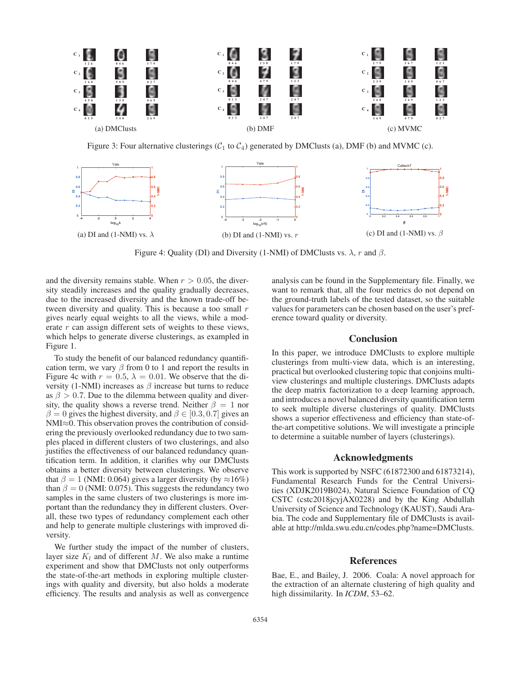

Figure 3: Four alternative clusterings  $(C_1$  to  $C_4$ ) generated by DMClusts (a), DMF (b) and MVMC (c).



Figure 4: Quality (DI) and Diversity (1-NMI) of DMClusts vs.  $\lambda$ , r and  $\beta$ .

and the diversity remains stable. When  $r > 0.05$ , the diversity steadily increases and the quality gradually decreases, due to the increased diversity and the known trade-off between diversity and quality. This is because a too small  $r$ gives nearly equal weights to all the views, while a moderate  $r$  can assign different sets of weights to these views, which helps to generate diverse clusterings, as exampled in Figure 1.

To study the benefit of our balanced redundancy quantification term, we vary  $\beta$  from 0 to 1 and report the results in Figure 4c with  $r = 0.5$ ,  $\lambda = 0.01$ . We observe that the diversity (1-NMI) increases as  $\beta$  increase but turns to reduce as  $\beta > 0.7$ . Due to the dilemma between quality and diversity, the quality shows a reverse trend. Neither  $\beta = 1$  nor  $\beta = 0$  gives the highest diversity, and  $\beta \in [0.3, 0.7]$  gives an NMI≈0. This observation proves the contribution of considering the previously overlooked redundancy due to two samples placed in different clusters of two clusterings, and also justifies the effectiveness of our balanced redundancy quantification term. In addition, it clarifies why our DMClusts obtains a better diversity between clusterings. We observe that  $\beta = 1$  (NMI: 0.064) gives a larger diversity (by  $\approx 16\%$ ) than  $\beta = 0$  (NMI: 0.075). This suggests the redundancy two samples in the same clusters of two clusterings is more important than the redundancy they in different clusters. Overall, these two types of redundancy complement each other and help to generate multiple clusterings with improved diversity.

We further study the impact of the number of clusters, layer size  $K_l$  and of different M. We also make a runtime experiment and show that DMClusts not only outperforms the state-of-the-art methods in exploring multiple clusterings with quality and diversity, but also holds a moderate efficiency. The results and analysis as well as convergence

analysis can be found in the Supplementary file. Finally, we want to remark that, all the four metrics do not depend on the ground-truth labels of the tested dataset, so the suitable values for parameters can be chosen based on the user's preference toward quality or diversity.

# **Conclusion**

In this paper, we introduce DMClusts to explore multiple clusterings from multi-view data, which is an interesting, practical but overlooked clustering topic that conjoins multiview clusterings and multiple clusterings. DMClusts adapts the deep matrix factorization to a deep learning approach, and introduces a novel balanced diversity quantification term to seek multiple diverse clusterings of quality. DMClusts shows a superior effectiveness and efficiency than state-ofthe-art competitive solutions. We will investigate a principle to determine a suitable number of layers (clusterings).

# Acknowledgments

This work is supported by NSFC (61872300 and 61873214), Fundamental Research Funds for the Central Universities (XDJK2019B024), Natural Science Foundation of CQ CSTC (cstc2018jcyjAX0228) and by the King Abdullah University of Science and Technology (KAUST), Saudi Arabia. The code and Supplementary file of DMClusts is available at http://mlda.swu.edu.cn/codes.php?name=DMClusts.

# References

Bae, E., and Bailey, J. 2006. Coala: A novel approach for the extraction of an alternate clustering of high quality and high dissimilarity. In *ICDM*, 53–62.